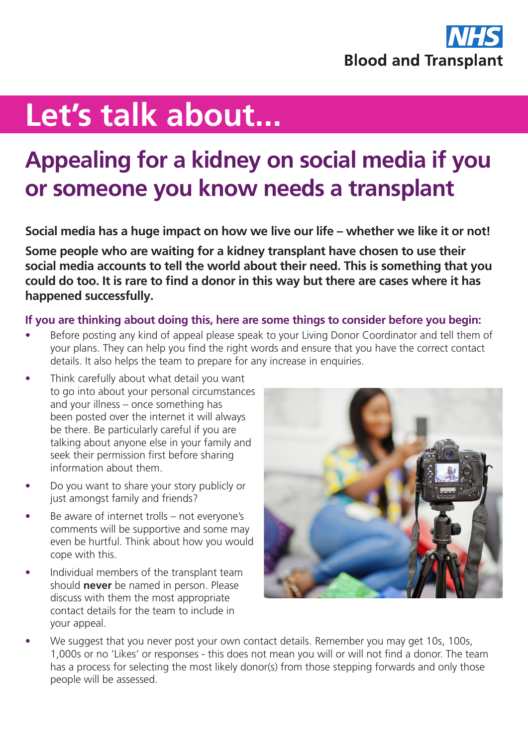

## **Let's talk about...**

## **Appealing for a kidney on social media if you or someone you know needs a transplant**

**Social media has a huge impact on how we live our life – whether we like it or not!**

**Some people who are waiting for a kidney transplant have chosen to use their social media accounts to tell the world about their need. This is something that you could do too. It is rare to find a donor in this way but there are cases where it has happened successfully.**

## **If you are thinking about doing this, here are some things to consider before you begin:**

- Before posting any kind of appeal please speak to your Living Donor Coordinator and tell them of your plans. They can help you find the right words and ensure that you have the correct contact details. It also helps the team to prepare for any increase in enquiries.
- Think carefully about what detail you want to go into about your personal circumstances and your illness – once something has been posted over the internet it will always be there. Be particularly careful if you are talking about anyone else in your family and seek their permission first before sharing information about them.
- Do you want to share your story publicly or just amongst family and friends?
- Be aware of internet trolls not everyone's comments will be supportive and some may even be hurtful. Think about how you would cope with this.
- Individual members of the transplant team should **never** be named in person. Please discuss with them the most appropriate contact details for the team to include in your appeal.



We suggest that you never post your own contact details. Remember you may get 10s, 100s, 1,000s or no 'Likes' or responses - this does not mean you will or will not find a donor. The team has a process for selecting the most likely donor(s) from those stepping forwards and only those people will be assessed.